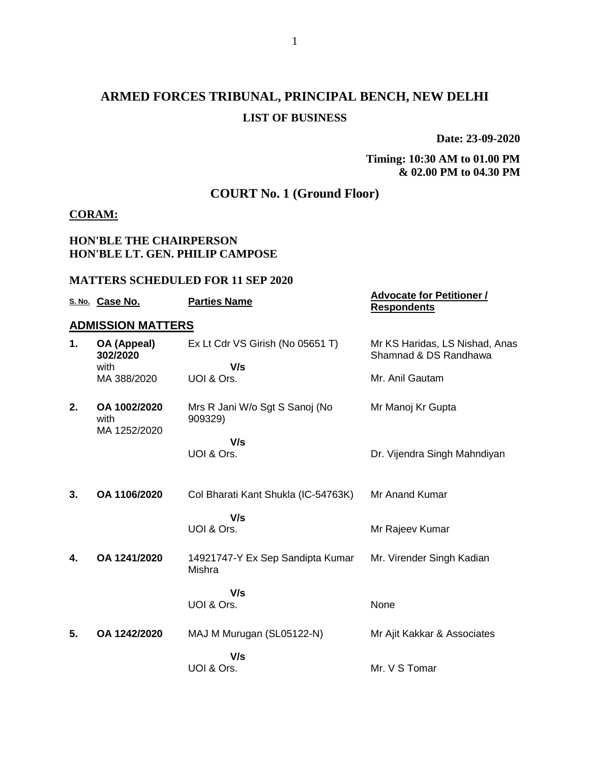# **ARMED FORCES TRIBUNAL, PRINCIPAL BENCH, NEW DELHI LIST OF BUSINESS**

**Date: 23-09-2020**

#### **Timing: 10:30 AM to 01.00 PM & 02.00 PM to 04.30 PM**

## **COURT No. 1 (Ground Floor)**

#### **CORAM:**

#### **HON'BLE THE CHAIRPERSON HON'BLE LT. GEN. PHILIP CAMPOSE**

#### **MATTERS SCHEDULED FOR 11 SEP 2020**

|    | S. No. Case No.                      | <b>Parties Name</b>                        | <b>Advocate for Petitioner /</b><br><b>Respondents</b>  |
|----|--------------------------------------|--------------------------------------------|---------------------------------------------------------|
|    | <b>ADMISSION MATTERS</b>             |                                            |                                                         |
| 1. | OA (Appeal)<br>302/2020              | Ex Lt Cdr VS Girish (No 05651 T)           | Mr KS Haridas, LS Nishad, Anas<br>Shamnad & DS Randhawa |
|    | with                                 | V/s                                        |                                                         |
|    | MA 388/2020                          | UOI & Ors.                                 | Mr. Anil Gautam                                         |
| 2. | OA 1002/2020<br>with<br>MA 1252/2020 | Mrs R Jani W/o Sgt S Sanoj (No<br>909329)  | Mr Manoj Kr Gupta                                       |
|    |                                      | V/s                                        |                                                         |
|    |                                      | UOI & Ors.                                 | Dr. Vijendra Singh Mahndiyan                            |
|    |                                      |                                            |                                                         |
| 3. | OA 1106/2020                         | Col Bharati Kant Shukla (IC-54763K)        | Mr Anand Kumar                                          |
|    |                                      | V/s                                        |                                                         |
|    |                                      | UOI & Ors.                                 | Mr Rajeev Kumar                                         |
| 4. | OA 1241/2020                         | 14921747-Y Ex Sep Sandipta Kumar<br>Mishra | Mr. Virender Singh Kadian                               |
|    |                                      | V/s                                        |                                                         |
|    |                                      | UOI & Ors.                                 | None                                                    |
|    | OA 1242/2020                         |                                            |                                                         |
| 5. |                                      | MAJ M Murugan (SL05122-N)                  | Mr Ajit Kakkar & Associates                             |
|    |                                      | V/s                                        |                                                         |
|    |                                      | UOI & Ors.                                 | Mr. V S Tomar                                           |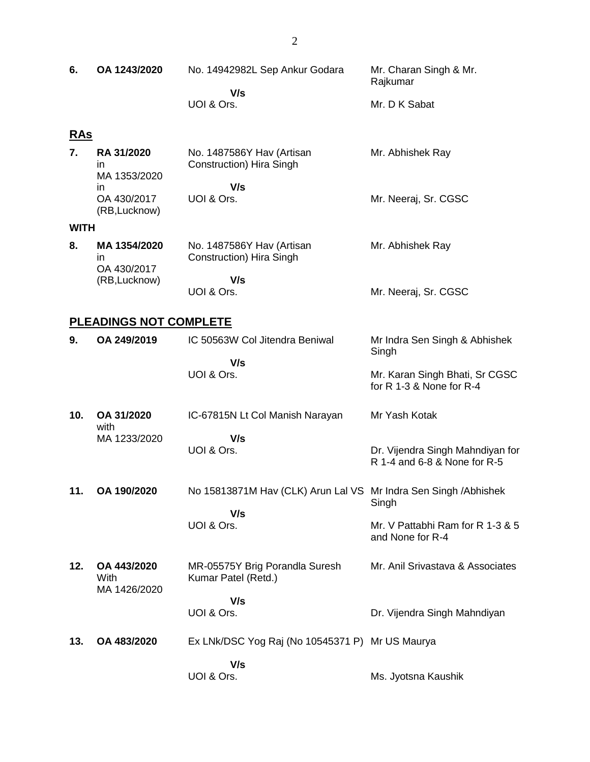| 6.         | OA 1243/2020 | No. 14942982L Sep Ankur Godara | Mr. Charan Singh & Mr.<br>Rajkumar |
|------------|--------------|--------------------------------|------------------------------------|
|            |              | V/s<br>UOI & Ors.              | Mr. D K Sabat                      |
| <u>RAs</u> |              |                                |                                    |

|  | <b>RA 31/2020</b>            | No. 1487586Y Hav (Artisan | Mr. Abhishek Ray     |
|--|------------------------------|---------------------------|----------------------|
|  | ın                           | Construction) Hira Singh  |                      |
|  | MA 1353/2020                 |                           |                      |
|  | ın                           | V/s                       |                      |
|  | OA 430/2017<br>(RB, Lucknow) | UOI & Ors.                | Mr. Neeraj, Sr. CGSC |

#### **WITH**

| 8. | MA 1354/2020<br>ın           | No. 1487586Y Hav (Artisan<br><b>Construction</b> ) Hira Singh | Mr. Abhishek Ray     |
|----|------------------------------|---------------------------------------------------------------|----------------------|
|    | OA 430/2017<br>(RB, Lucknow) | V/s                                                           |                      |
|    |                              | UOI & Ors.                                                    | Mr. Neeraj, Sr. CGSC |

## **PLEADINGS NOT COMPLETE**

| 9.  | OA 249/2019                         | IC 50563W Col Jitendra Beniwal<br>V/s                 | Mr Indra Sen Singh & Abhishek<br>Singh                           |
|-----|-------------------------------------|-------------------------------------------------------|------------------------------------------------------------------|
|     |                                     | UOI & Ors.                                            | Mr. Karan Singh Bhati, Sr CGSC<br>for R 1-3 & None for R-4       |
| 10. | OA 31/2020<br>with                  | IC-67815N Lt Col Manish Narayan                       | Mr Yash Kotak                                                    |
|     | MA 1233/2020                        | V/s<br>UOI & Ors.                                     | Dr. Vijendra Singh Mahndiyan for<br>R 1-4 and 6-8 & None for R-5 |
| 11. | OA 190/2020                         | No 15813871M Hav (CLK) Arun Lal VS<br>V/s             | Mr Indra Sen Singh / Abhishek<br>Singh                           |
|     |                                     | UOI & Ors.                                            | Mr. V Pattabhi Ram for R 1-3 & 5<br>and None for R-4             |
| 12. | OA 443/2020<br>With<br>MA 1426/2020 | MR-05575Y Brig Porandla Suresh<br>Kumar Patel (Retd.) | Mr. Anil Srivastava & Associates                                 |
|     |                                     | V/s<br>UOI & Ors.                                     | Dr. Vijendra Singh Mahndiyan                                     |
| 13. | OA 483/2020                         | Ex LNk/DSC Yog Raj (No 10545371 P) Mr US Maurya       |                                                                  |
|     |                                     | V/s<br>UOI & Ors.                                     | Ms. Jyotsna Kaushik                                              |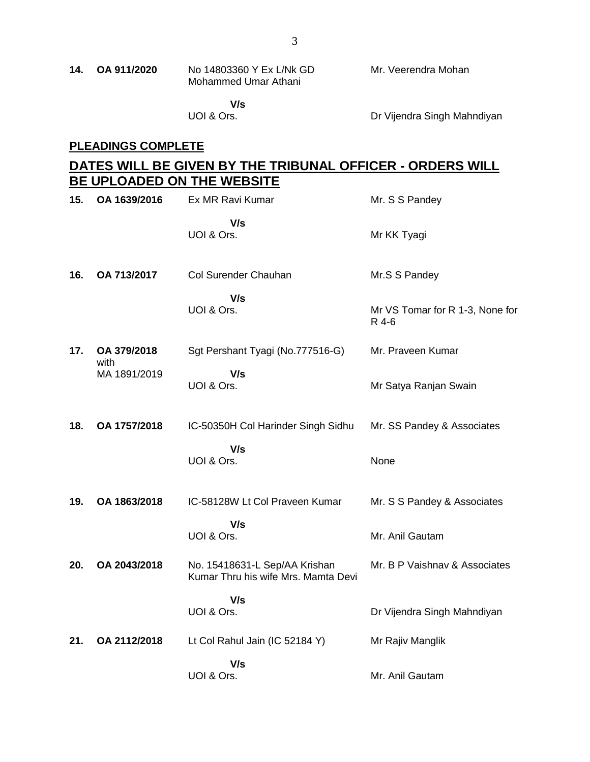| 14. | OA 911/2020 | No 14803360 Y Ex L/Nk GD | Mr. Veerendra Mohan |
|-----|-------------|--------------------------|---------------------|
|     |             | Mohammed Umar Athani     |                     |

 **V/s** UOI & Ors.

Dr Vijendra Singh Mahndiyan

#### **PLEADINGS COMPLETE**

# **DATES WILL BE GIVEN BY THE TRIBUNAL OFFICER - ORDERS WILL BE UPLOADED ON THE WEBSITE**

| 15. | OA 1639/2016        | Ex MR Ravi Kumar                                                     | Mr. S S Pandey                           |
|-----|---------------------|----------------------------------------------------------------------|------------------------------------------|
|     |                     | V/s<br>UOI & Ors.                                                    | Mr KK Tyagi                              |
| 16. | OA 713/2017         | Col Surender Chauhan                                                 | Mr.S S Pandey                            |
|     |                     | V/s<br>UOI & Ors.                                                    | Mr VS Tomar for R 1-3, None for<br>R 4-6 |
| 17. | OA 379/2018<br>with | Sgt Pershant Tyagi (No.777516-G)                                     | Mr. Praveen Kumar                        |
|     | MA 1891/2019        | V/s<br>UOI & Ors.                                                    | Mr Satya Ranjan Swain                    |
| 18. | OA 1757/2018        | IC-50350H Col Harinder Singh Sidhu                                   | Mr. SS Pandey & Associates               |
|     |                     | V/s<br>UOI & Ors.                                                    | None                                     |
| 19. | OA 1863/2018        | IC-58128W Lt Col Praveen Kumar                                       | Mr. S S Pandey & Associates              |
|     |                     | V/s<br>UOI & Ors.                                                    | Mr. Anil Gautam                          |
| 20. | OA 2043/2018        | No. 15418631-L Sep/AA Krishan<br>Kumar Thru his wife Mrs. Mamta Devi | Mr. B P Vaishnav & Associates            |
|     |                     | V/s<br>UOI & Ors.                                                    | Dr Vijendra Singh Mahndiyan              |
| 21. | OA 2112/2018        | Lt Col Rahul Jain (IC 52184 Y)                                       | Mr Rajiv Manglik                         |
|     |                     | V/s<br>UOI & Ors.                                                    | Mr. Anil Gautam                          |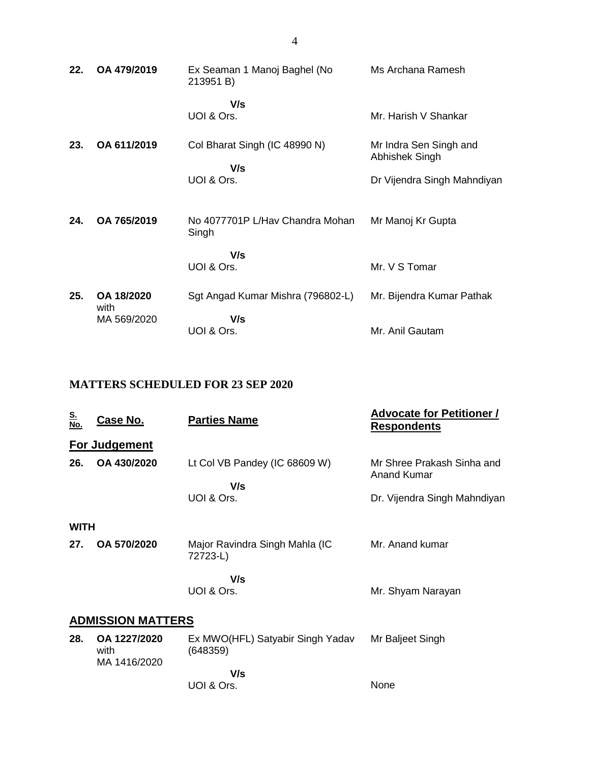| 22. | OA 479/2019        | Ex Seaman 1 Manoj Baghel (No<br>213951 B) | Ms Archana Ramesh                        |
|-----|--------------------|-------------------------------------------|------------------------------------------|
|     |                    | V/s<br>UOI & Ors.                         | Mr. Harish V Shankar                     |
| 23. | OA 611/2019        | Col Bharat Singh (IC 48990 N)             | Mr Indra Sen Singh and<br>Abhishek Singh |
|     |                    | V/s<br>UOI & Ors.                         | Dr Vijendra Singh Mahndiyan              |
| 24. | OA 765/2019        | No 4077701P L/Hav Chandra Mohan<br>Singh  | Mr Manoj Kr Gupta                        |
|     |                    | V/s<br>UOI & Ors.                         | Mr. V S Tomar                            |
| 25. | OA 18/2020<br>with | Sgt Angad Kumar Mishra (796802-L)         | Mr. Bijendra Kumar Pathak                |
|     | MA 569/2020        | V/s<br>UOI & Ors.                         | Mr. Anil Gautam                          |

## **MATTERS SCHEDULED FOR 23 SEP 2020**

| <u>S.</u><br>No. | <u>Case No.</u>                      | <b>Parties Name</b>                          | <b>Advocate for Petitioner /</b><br><b>Respondents</b> |  |  |
|------------------|--------------------------------------|----------------------------------------------|--------------------------------------------------------|--|--|
|                  | <b>For Judgement</b>                 |                                              |                                                        |  |  |
| 26.              | OA 430/2020                          | Lt Col VB Pandey (IC 68609 W)<br>V/s         | Mr Shree Prakash Sinha and<br><b>Anand Kumar</b>       |  |  |
|                  |                                      | UOI & Ors.                                   | Dr. Vijendra Singh Mahndiyan                           |  |  |
| WITH             |                                      |                                              |                                                        |  |  |
| 27.              | OA 570/2020                          | Major Ravindra Singh Mahla (IC<br>72723-L)   | Mr. Anand kumar                                        |  |  |
|                  |                                      | V/s                                          |                                                        |  |  |
|                  |                                      | UOI & Ors.                                   | Mr. Shyam Narayan                                      |  |  |
|                  | <b>ADMISSION MATTERS</b>             |                                              |                                                        |  |  |
| 28.              | OA 1227/2020<br>with<br>MA 1416/2020 | Ex MWO(HFL) Satyabir Singh Yadav<br>(648359) | Mr Baljeet Singh                                       |  |  |
|                  |                                      | V/s                                          |                                                        |  |  |
|                  |                                      | UOI & Ors.                                   | None                                                   |  |  |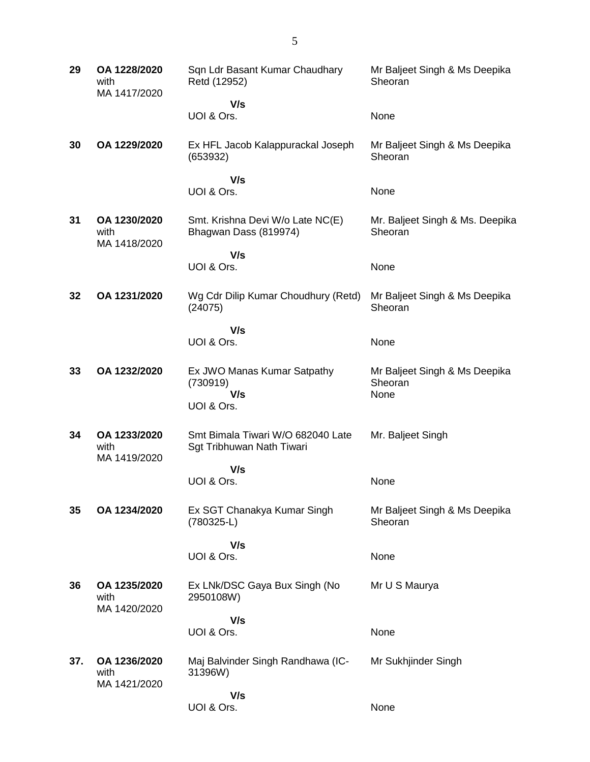| 29  | OA 1228/2020<br>with<br>MA 1417/2020 | Sqn Ldr Basant Kumar Chaudhary<br>Retd (12952)                 | Mr Baljeet Singh & Ms Deepika<br>Sheoran         |
|-----|--------------------------------------|----------------------------------------------------------------|--------------------------------------------------|
|     |                                      | V/s                                                            |                                                  |
|     |                                      | UOI & Ors.                                                     | None                                             |
| 30  | OA 1229/2020                         | Ex HFL Jacob Kalappurackal Joseph<br>(653932)                  | Mr Baljeet Singh & Ms Deepika<br>Sheoran         |
|     |                                      | V/s                                                            |                                                  |
|     |                                      | UOI & Ors.                                                     | None                                             |
| 31  | OA 1230/2020<br>with<br>MA 1418/2020 | Smt. Krishna Devi W/o Late NC(E)<br>Bhagwan Dass (819974)      | Mr. Baljeet Singh & Ms. Deepika<br>Sheoran       |
|     |                                      | V/s                                                            |                                                  |
|     |                                      | UOI & Ors.                                                     | None                                             |
| 32  | OA 1231/2020                         | Wg Cdr Dilip Kumar Choudhury (Retd)<br>(24075)                 | Mr Baljeet Singh & Ms Deepika<br>Sheoran         |
|     |                                      | V/s                                                            |                                                  |
|     |                                      | UOI & Ors.                                                     | None                                             |
| 33  | OA 1232/2020                         | Ex JWO Manas Kumar Satpathy<br>(730919)<br>V/s                 | Mr Baljeet Singh & Ms Deepika<br>Sheoran<br>None |
|     |                                      | UOI & Ors.                                                     |                                                  |
| 34  | OA 1233/2020<br>with<br>MA 1419/2020 | Smt Bimala Tiwari W/O 682040 Late<br>Sgt Tribhuwan Nath Tiwari | Mr. Baljeet Singh                                |
|     |                                      | V/s                                                            |                                                  |
|     |                                      | UOI & Ors.                                                     | None                                             |
| 35  | OA 1234/2020                         | Ex SGT Chanakya Kumar Singh<br>(780325-L)                      | Mr Baljeet Singh & Ms Deepika<br>Sheoran         |
|     |                                      | V/s                                                            |                                                  |
|     |                                      | UOI & Ors.                                                     | None                                             |
| 36  | OA 1235/2020<br>with<br>MA 1420/2020 | Ex LNk/DSC Gaya Bux Singh (No<br>2950108W)                     | Mr U S Maurya                                    |
|     |                                      | V/s                                                            |                                                  |
|     |                                      | UOI & Ors.                                                     | None                                             |
| 37. | OA 1236/2020<br>with<br>MA 1421/2020 | Maj Balvinder Singh Randhawa (IC-<br>31396W)                   | Mr Sukhjinder Singh                              |
|     |                                      | V/s                                                            |                                                  |
|     |                                      | UOI & Ors.                                                     | None                                             |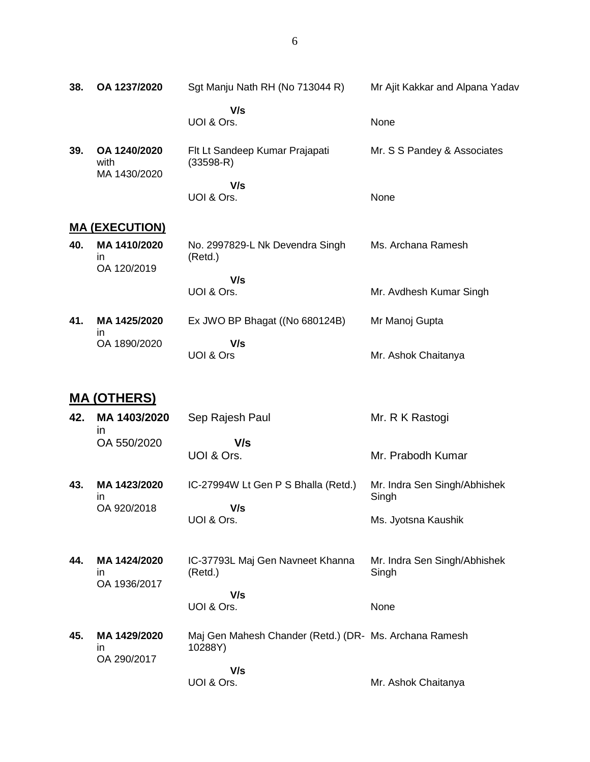| 38. | OA 1237/2020                         | Sgt Manju Nath RH (No 713044 R)             | Mr Ajit Kakkar and Alpana Yadav |
|-----|--------------------------------------|---------------------------------------------|---------------------------------|
|     |                                      | V/s<br>UOI & Ors.                           | None                            |
| 39. | OA 1240/2020<br>with<br>MA 1430/2020 | Flt Lt Sandeep Kumar Prajapati<br>(33598-R) | Mr. S S Pandey & Associates     |

 **V/s** UOI & Ors. None

# **MA (EXECUTION)**

| 40. | MA 1410/2020<br>in<br>OA 120/2019 | No. 2997829-L Nk Devendra Singh<br>(Retd.) | Ms. Archana Ramesh      |
|-----|-----------------------------------|--------------------------------------------|-------------------------|
|     |                                   | V/s                                        |                         |
|     |                                   | UOI & Ors.                                 | Mr. Avdhesh Kumar Singh |
| 41. | MA 1425/2020<br>ın                | Ex JWO BP Bhagat ((No 680124B)             | Mr Manoj Gupta          |
|     | OA 1890/2020                      | V/s                                        |                         |
|     |                                   | UOI & Ors                                  | Mr. Ashok Chaitanya     |

# **MA (OTHERS)**

| 42. | MA 1403/2020<br>$\mathsf{I}$        | Sep Rajesh Paul                                                   | Mr. R K Rastogi                                              |
|-----|-------------------------------------|-------------------------------------------------------------------|--------------------------------------------------------------|
|     | OA 550/2020                         | V/s<br>UOI & Ors.                                                 | Mr. Prabodh Kumar                                            |
| 43. | MA 1423/2020<br>in.<br>OA 920/2018  | IC-27994W Lt Gen P S Bhalla (Retd.)<br>V/s<br>UOI & Ors.          | Mr. Indra Sen Singh/Abhishek<br>Singh<br>Ms. Jyotsna Kaushik |
| 44. | MA 1424/2020<br>in.<br>OA 1936/2017 | IC-37793L Maj Gen Navneet Khanna<br>(Retd.)<br>V/s                | Mr. Indra Sen Singh/Abhishek<br>Singh                        |
|     |                                     | UOI & Ors.                                                        | None                                                         |
| 45. | MA 1429/2020<br>in.<br>OA 290/2017  | Maj Gen Mahesh Chander (Retd.) (DR- Ms. Archana Ramesh<br>10288Y) |                                                              |
|     |                                     | V/s<br>UOI & Ors.                                                 | Mr. Ashok Chaitanya                                          |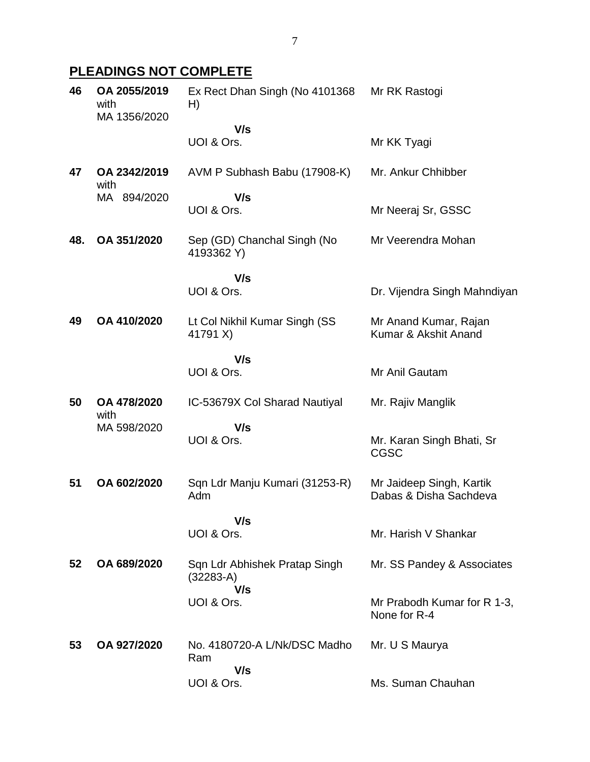# **PLEADINGS NOT COMPLETE**

| 46  | OA 2055/2019<br>with<br>MA 1356/2020 | Ex Rect Dhan Singh (No 4101368)<br>H)               | Mr RK Rastogi                                      |
|-----|--------------------------------------|-----------------------------------------------------|----------------------------------------------------|
|     |                                      | V/s<br>UOI & Ors.                                   | Mr KK Tyagi                                        |
| 47  | OA 2342/2019                         | AVM P Subhash Babu (17908-K)                        | Mr. Ankur Chhibber                                 |
|     | with<br>MA 894/2020                  | V/s<br>UOI & Ors.                                   | Mr Neeraj Sr, GSSC                                 |
| 48. | OA 351/2020                          | Sep (GD) Chanchal Singh (No<br>4193362 Y)           | Mr Veerendra Mohan                                 |
|     |                                      | V/s<br>UOI & Ors.                                   | Dr. Vijendra Singh Mahndiyan                       |
| 49  | OA 410/2020                          | Lt Col Nikhil Kumar Singh (SS<br>41791 X)           | Mr Anand Kumar, Rajan<br>Kumar & Akshit Anand      |
|     |                                      | V/s<br>UOI & Ors.                                   | Mr Anil Gautam                                     |
| 50  | OA 478/2020<br>with                  | IC-53679X Col Sharad Nautiyal                       | Mr. Rajiv Manglik                                  |
|     | MA 598/2020                          | V/s<br>UOI & Ors.                                   | Mr. Karan Singh Bhati, Sr<br><b>CGSC</b>           |
| 51  | OA 602/2020                          | Sqn Ldr Manju Kumari (31253-R)<br>Adm               | Mr Jaideep Singh, Kartik<br>Dabas & Disha Sachdeva |
|     |                                      | V/s<br>UOI & Ors.                                   | Mr. Harish V Shankar                               |
| 52  | OA 689/2020                          | Sqn Ldr Abhishek Pratap Singh<br>$(32283-A)$<br>V/s | Mr. SS Pandey & Associates                         |
|     |                                      | UOI & Ors.                                          | Mr Prabodh Kumar for R 1-3,<br>None for R-4        |
| 53  | OA 927/2020                          | No. 4180720-A L/Nk/DSC Madho<br>Ram                 | Mr. U S Maurya                                     |
|     |                                      | V/s<br>UOI & Ors.                                   | Ms. Suman Chauhan                                  |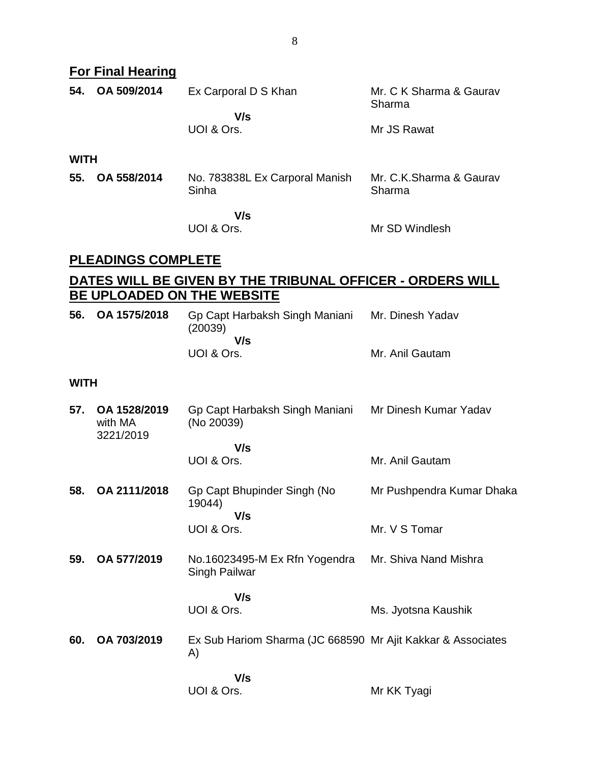#### **For Final Hearing**

| 54.         | OA 509/2014 | Ex Carporal D S Khan                    | Mr. C K Sharma & Gaurav<br>Sharma |
|-------------|-------------|-----------------------------------------|-----------------------------------|
|             |             | V/s<br>UOI & Ors.                       | Mr JS Rawat                       |
| <b>WITH</b> |             |                                         |                                   |
| 55.         | OA 558/2014 | No. 783838L Ex Carporal Manish<br>Sinha | Mr. C.K.Sharma & Gaurav<br>Sharma |
|             |             | V/s                                     |                                   |

UOI & Ors.

Mr SD Windlesh

## **PLEADINGS COMPLETE**

# **DATES WILL BE GIVEN BY THE TRIBUNAL OFFICER - ORDERS WILL BE UPLOADED ON THE WEBSITE**

| 56. OA 1575/2018 | Gp Capt Harbaksh Singh Maniani<br>(20039) | Mr. Dinesh Yadav |
|------------------|-------------------------------------------|------------------|
|                  | V/s                                       |                  |
|                  | UOI & Ors.                                | Mr. Anil Gautam  |

#### **WITH**

- **57. OA 1528/2019** with MA 3221/2019 Gp Capt Harbaksh Singh Maniani (No 20039)  **V/s** Mr Dinesh Kumar Yadav
	- UOI & Ors. Mr. Anil Gautam
- **58. OA 2111/2018** Gp Capt Bhupinder Singh (No 19044)  **V/s** UOI & Ors. Mr Pushpendra Kumar Dhaka Mr. V S Tomar
- **59. OA 577/2019** No.16023495-M Ex Rfn Yogendra Singh Pailwar Mr. Shiva Nand Mishra

#### **V/s** UOI & Ors.

**60. OA 703/2019** Ex Sub Hariom Sharma (JC 668590 Mr Ajit Kakkar & Associates A)

> **V/s** UOI & Ors.

Mr KK Tyagi

Ms. Jyotsna Kaushik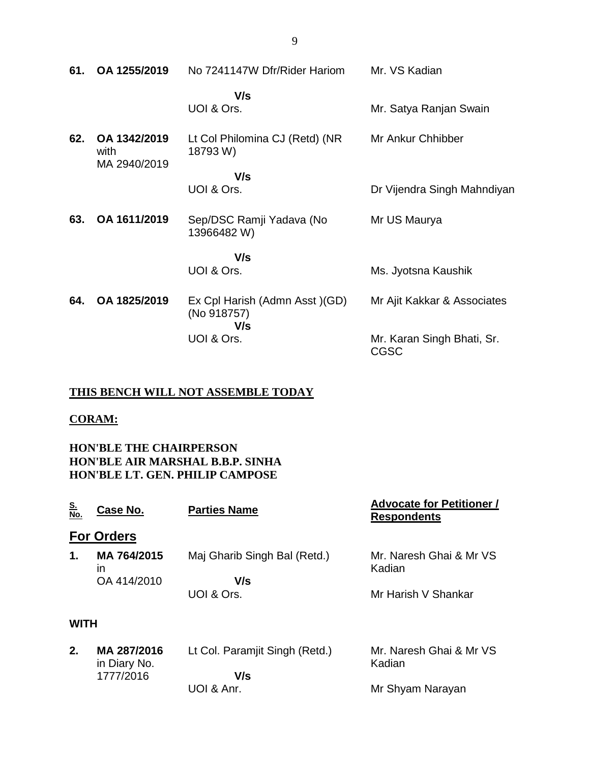| 61. | OA 1255/2019                         | No 7241147W Dfr/Rider Hariom                         | Mr. VS Kadian                             |
|-----|--------------------------------------|------------------------------------------------------|-------------------------------------------|
|     |                                      | V/s<br>UOI & Ors.                                    | Mr. Satya Ranjan Swain                    |
| 62. | OA 1342/2019<br>with<br>MA 2940/2019 | Lt Col Philomina CJ (Retd) (NR<br>18793 W)           | Mr Ankur Chhibber                         |
|     |                                      | V/s<br>UOI & Ors.                                    | Dr Vijendra Singh Mahndiyan               |
| 63. | OA 1611/2019                         | Sep/DSC Ramji Yadava (No<br>13966482 W)              | Mr US Maurya                              |
|     |                                      | V/s                                                  |                                           |
|     |                                      | UOI & Ors.                                           | Ms. Jyotsna Kaushik                       |
| 64. | OA 1825/2019                         | Ex Cpl Harish (Admn Asst) (GD)<br>(No 918757)<br>V/s | Mr Ajit Kakkar & Associates               |
|     |                                      | UOI & Ors.                                           | Mr. Karan Singh Bhati, Sr.<br><b>CGSC</b> |

#### **THIS BENCH WILL NOT ASSEMBLE TODAY**

#### **CORAM:**

**HON'BLE THE CHAIRPERSON HON'BLE AIR MARSHAL B.B.P. SINHA HON'BLE LT. GEN. PHILIP CAMPOSE**

| <u>S.</u><br>No. | <b>Case No.</b>             | <b>Parties Name</b>            | <b>Advocate for Petitioner /</b><br><b>Respondents</b> |
|------------------|-----------------------------|--------------------------------|--------------------------------------------------------|
|                  | <b>For Orders</b>           |                                |                                                        |
| 1.               | MA 764/2015<br>ın           | Maj Gharib Singh Bal (Retd.)   | Mr. Naresh Ghai & Mr VS<br>Kadian                      |
|                  | OA 414/2010                 | V/s                            |                                                        |
|                  |                             | UOI & Ors.                     | Mr Harish V Shankar                                    |
| <b>WITH</b>      |                             |                                |                                                        |
| 2.               | MA 287/2016<br>in Diary No. | Lt Col. Paramjit Singh (Retd.) | Mr. Naresh Ghai & Mr VS<br>Kadian                      |
|                  | 1777/2016                   | V/s                            |                                                        |
|                  |                             | UOI & Anr.                     | Mr Shyam Narayan                                       |

9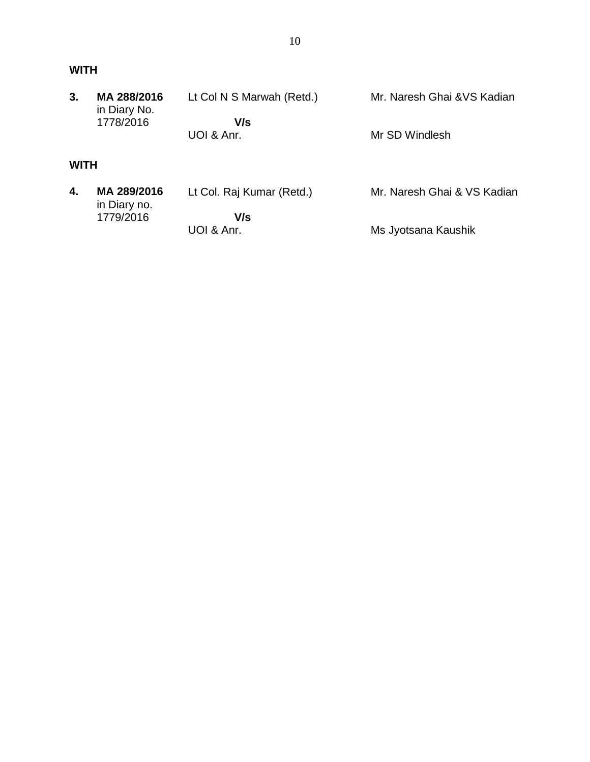| 3.          | MA 288/2016<br>in Diary No. | Lt Col N S Marwah (Retd.) | Mr. Naresh Ghai & VS Kadian |
|-------------|-----------------------------|---------------------------|-----------------------------|
|             | 1778/2016                   | V/s<br>UOI & Anr.         | Mr SD Windlesh              |
| <b>WITH</b> |                             |                           |                             |

| 4. | MA 289/2016<br>in Diary no. | Lt Col. Raj Kumar (Retd.) | Mr. Naresh Ghai & VS Kadian |
|----|-----------------------------|---------------------------|-----------------------------|
|    | 1779/2016                   | V/s<br>UOI & Anr.         | Ms Jyotsana Kaushik         |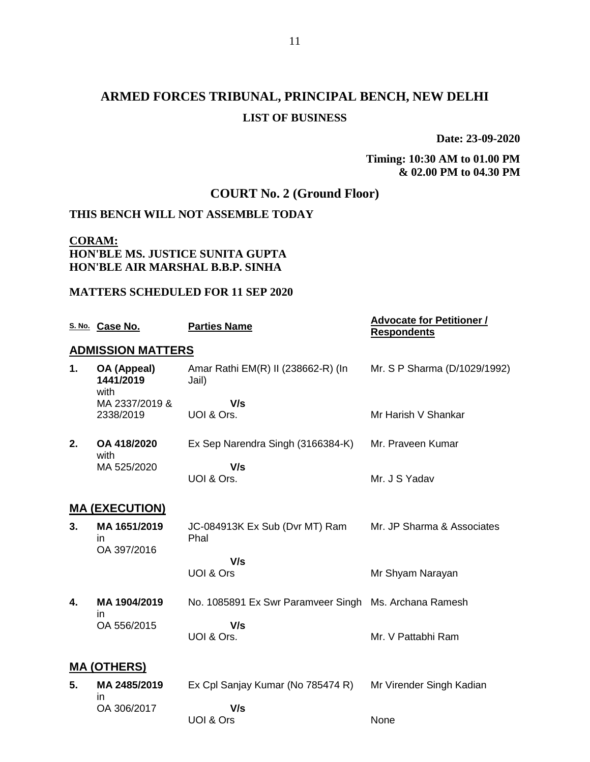# **ARMED FORCES TRIBUNAL, PRINCIPAL BENCH, NEW DELHI LIST OF BUSINESS**

**Date: 23-09-2020**

#### **Timing: 10:30 AM to 01.00 PM & 02.00 PM to 04.30 PM**

## **COURT No. 2 (Ground Floor)**

#### **THIS BENCH WILL NOT ASSEMBLE TODAY**

## **CORAM: HON'BLE MS. JUSTICE SUNITA GUPTA HON'BLE AIR MARSHAL B.B.P. SINHA**

#### **MATTERS SCHEDULED FOR 11 SEP 2020**

|    | S. No. Case No.                   | <b>Parties Name</b>                                   | <b>Advocate for Petitioner /</b><br><b>Respondents</b> |  |  |
|----|-----------------------------------|-------------------------------------------------------|--------------------------------------------------------|--|--|
|    | <b>ADMISSION MATTERS</b>          |                                                       |                                                        |  |  |
| 1. | OA (Appeal)<br>1441/2019<br>with  | Amar Rathi EM(R) II (238662-R) (In<br>Jail)           | Mr. S P Sharma (D/1029/1992)                           |  |  |
|    | MA 2337/2019 &                    | V/s                                                   |                                                        |  |  |
|    | 2338/2019                         | UOI & Ors.                                            | Mr Harish V Shankar                                    |  |  |
| 2. | OA 418/2020<br>with               | Ex Sep Narendra Singh (3166384-K)                     | Mr. Praveen Kumar                                      |  |  |
|    | MA 525/2020                       | V/s                                                   |                                                        |  |  |
|    |                                   | UOI & Ors.                                            | Mr. J S Yadav                                          |  |  |
|    | <b>MA (EXECUTION)</b>             |                                                       |                                                        |  |  |
| 3. | MA 1651/2019<br>in<br>OA 397/2016 | JC-084913K Ex Sub (Dvr MT) Ram<br>Phal                | Mr. JP Sharma & Associates                             |  |  |
|    |                                   | V/s                                                   |                                                        |  |  |
|    |                                   | UOI & Ors                                             | Mr Shyam Narayan                                       |  |  |
| 4. | MA 1904/2019                      | No. 1085891 Ex Swr Paramveer Singh Ms. Archana Ramesh |                                                        |  |  |
|    | in<br>OA 556/2015                 | V/s                                                   |                                                        |  |  |
|    |                                   | UOI & Ors.                                            | Mr. V Pattabhi Ram                                     |  |  |
|    | <b>MA (OTHERS)</b>                |                                                       |                                                        |  |  |
| 5. | MA 2485/2019                      | Ex Cpl Sanjay Kumar (No 785474 R)                     | Mr Virender Singh Kadian                               |  |  |

in OA 306/2017  **V/s** UOI & Ors None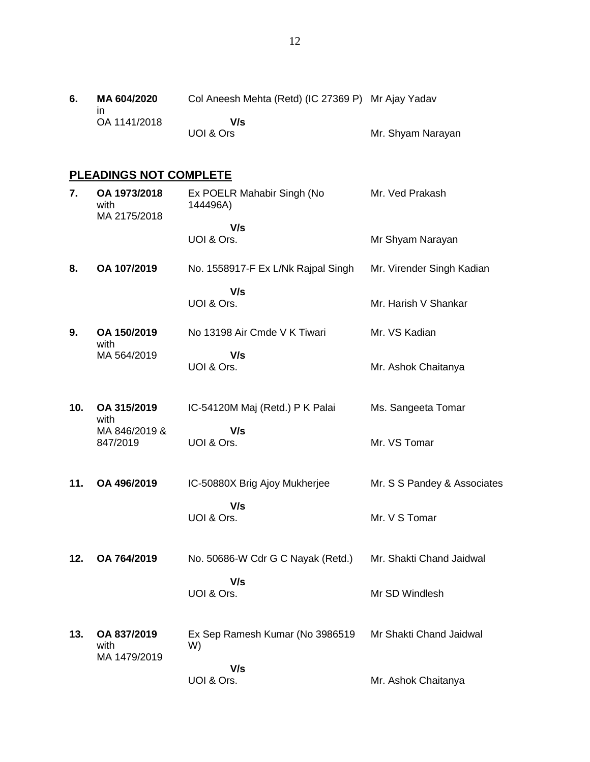## **PLEADINGS NOT COMPLETE**

| 7.  | OA 1973/2018<br>with<br>MA 2175/2018 | Ex POELR Mahabir Singh (No<br>144496A) | Mr. Ved Prakash             |
|-----|--------------------------------------|----------------------------------------|-----------------------------|
|     |                                      | V/s<br>UOI & Ors.                      | Mr Shyam Narayan            |
| 8.  | OA 107/2019                          | No. 1558917-F Ex L/Nk Rajpal Singh     | Mr. Virender Singh Kadian   |
|     |                                      | V/s<br>UOI & Ors.                      | Mr. Harish V Shankar        |
| 9.  | OA 150/2019<br>with                  | No 13198 Air Cmde V K Tiwari           | Mr. VS Kadian               |
|     | MA 564/2019                          | V/s<br>UOI & Ors.                      | Mr. Ashok Chaitanya         |
| 10. | OA 315/2019<br>with                  | IC-54120M Maj (Retd.) P K Palai        | Ms. Sangeeta Tomar          |
|     | MA 846/2019 &<br>847/2019            | V/s<br>UOI & Ors.                      | Mr. VS Tomar                |
| 11. | OA 496/2019                          | IC-50880X Brig Ajoy Mukherjee          | Mr. S S Pandey & Associates |
|     |                                      | V/s<br>UOI & Ors.                      | Mr. V S Tomar               |
| 12. | OA 764/2019                          | No. 50686-W Cdr G C Nayak (Retd.)      | Mr. Shakti Chand Jaidwal    |
|     |                                      | V/s<br>UOI & Ors.                      | Mr SD Windlesh              |
| 13. | OA 837/2019<br>with<br>MA 1479/2019  | Ex Sep Ramesh Kumar (No 3986519<br>W)  | Mr Shakti Chand Jaidwal     |
|     |                                      | V/s<br>UOI & Ors.                      | Mr. Ashok Chaitanya         |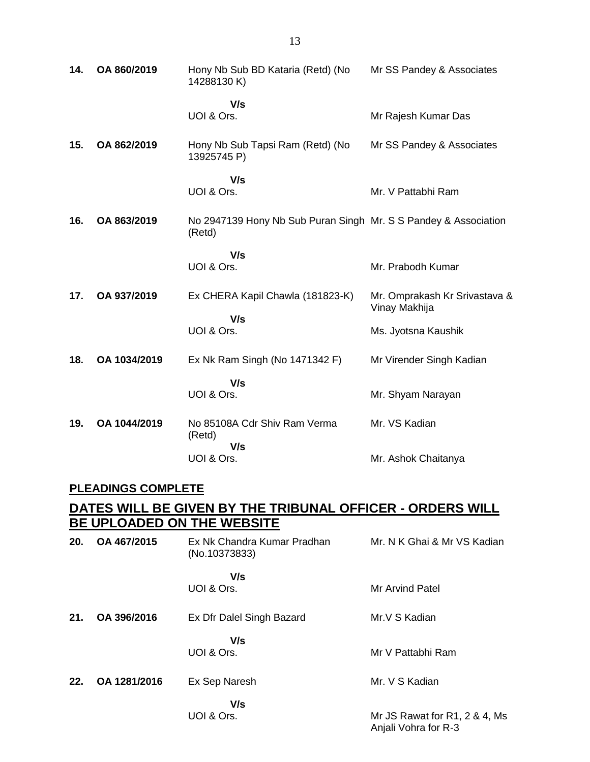| 14. | OA 860/2019  | Hony Nb Sub BD Kataria (Retd) (No<br>14288130K)                           | Mr SS Pandey & Associates                      |
|-----|--------------|---------------------------------------------------------------------------|------------------------------------------------|
|     |              | V/s<br>UOI & Ors.                                                         | Mr Rajesh Kumar Das                            |
| 15. | OA 862/2019  | Hony Nb Sub Tapsi Ram (Retd) (No<br>13925745 P)                           | Mr SS Pandey & Associates                      |
|     |              | V/s                                                                       |                                                |
|     |              | UOI & Ors.                                                                | Mr. V Pattabhi Ram                             |
| 16. | OA 863/2019  | No 2947139 Hony Nb Sub Puran Singh Mr. S S Pandey & Association<br>(Retd) |                                                |
|     |              | V/s                                                                       |                                                |
|     |              | UOI & Ors.                                                                | Mr. Prabodh Kumar                              |
| 17. | OA 937/2019  | Ex CHERA Kapil Chawla (181823-K)                                          | Mr. Omprakash Kr Srivastava &<br>Vinay Makhija |
|     |              | V/s<br>UOI & Ors.                                                         | Ms. Jyotsna Kaushik                            |
| 18. | OA 1034/2019 | Ex Nk Ram Singh (No 1471342 F)                                            | Mr Virender Singh Kadian                       |
|     |              | V/s                                                                       |                                                |
|     |              | UOI & Ors.                                                                | Mr. Shyam Narayan                              |
| 19. | OA 1044/2019 | No 85108A Cdr Shiv Ram Verma<br>(Retd)<br>V/s                             | Mr. VS Kadian                                  |
|     |              | UOI & Ors.                                                                | Mr. Ashok Chaitanya                            |

### **PLEADINGS COMPLETE**

### **DATES WILL BE GIVEN BY THE TRIBUNAL OFFICER - ORDERS WILL BE UPLOADED ON THE WEBSITE**

| 20. | OA 467/2015  | Ex Nk Chandra Kumar Pradhan<br>(No.10373833) | Mr. N K Ghai & Mr VS Kadian                           |
|-----|--------------|----------------------------------------------|-------------------------------------------------------|
|     |              | V/s<br>UOI & Ors.                            | <b>Mr Arvind Patel</b>                                |
| 21. | OA 396/2016  | Ex Dfr Dalel Singh Bazard                    | Mr.V S Kadian                                         |
|     |              | V/s<br>UOI & Ors.                            | Mr V Pattabhi Ram                                     |
| 22. | OA 1281/2016 | Ex Sep Naresh                                | Mr. V S Kadian                                        |
|     |              | V/s<br>UOI & Ors.                            | Mr JS Rawat for R1, 2 & 4, Ms<br>Anjali Vohra for R-3 |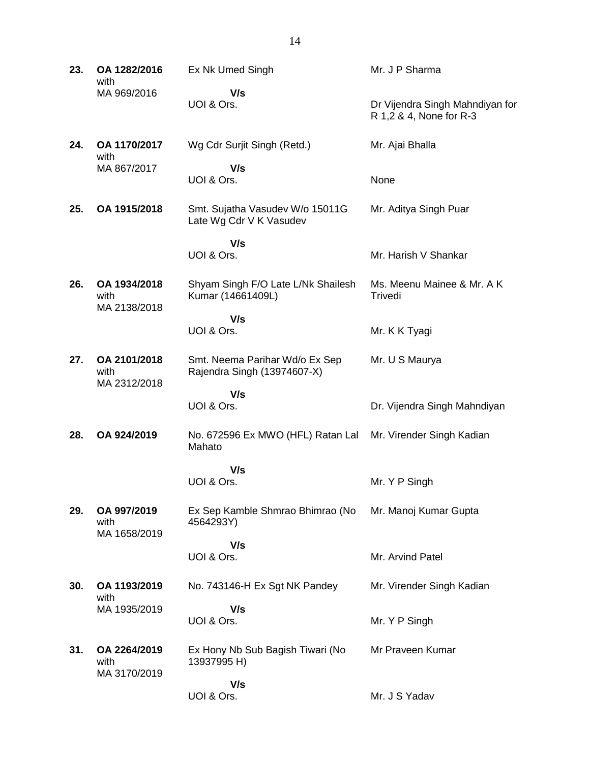**23. OA 1282/2016** with MA 969/2016 Ex Nk Umed Singh  **V/s** UOI & Ors. Mr. J P Sharma Dr Vijendra Singh Mahndiyan for R 1,2 & 4, None for R-3 **24. OA 1170/2017** with MA 867/2017 Wg Cdr Surjit Singh (Retd.)  **V/s** UOI & Ors. Mr. Ajai Bhalla None **25. OA 1915/2018** Smt. Sujatha Vasudev W/o 15011G Late Wg Cdr V K Vasudev  **V/s** UOI & Ors. Mr. Aditya Singh Puar Mr. Harish V Shankar **26. OA 1934/2018** with MA 2138/2018 Shyam Singh F/O Late L/Nk Shailesh Kumar (14661409L)  **V/s** UOI & Ors. Ms. Meenu Mainee & Mr. A K **Trivedi** Mr. K K Tyagi **27. OA 2101/2018** with MA 2312/2018 Smt. Neema Parihar Wd/o Ex Sep Rajendra Singh (13974607-X)  **V/s** UOI & Ors. Mr. U S Maurya Dr. Vijendra Singh Mahndiyan **28. OA 924/2019** No. 672596 Ex MWO (HFL) Ratan Lal Mahato  **V/s** UOI & Ors. Mr. Virender Singh Kadian Mr. Y P Singh **29. OA 997/2019** with MA 1658/2019 Ex Sep Kamble Shmrao Bhimrao (No 4564293Y)  **V/s** UOI & Ors. Mr. Manoj Kumar Gupta Mr. Arvind Patel **30. OA 1193/2019** with MA 1935/2019 No. 743146-H Ex Sgt NK Pandey  **V/s** UOI & Ors. Mr. Virender Singh Kadian Mr. Y P Singh **31. OA 2264/2019** with MA 3170/2019 Ex Hony Nb Sub Bagish Tiwari (No 13937995 H)  **V/s** UOI & Ors. Mr Praveen Kumar Mr. J S Yadav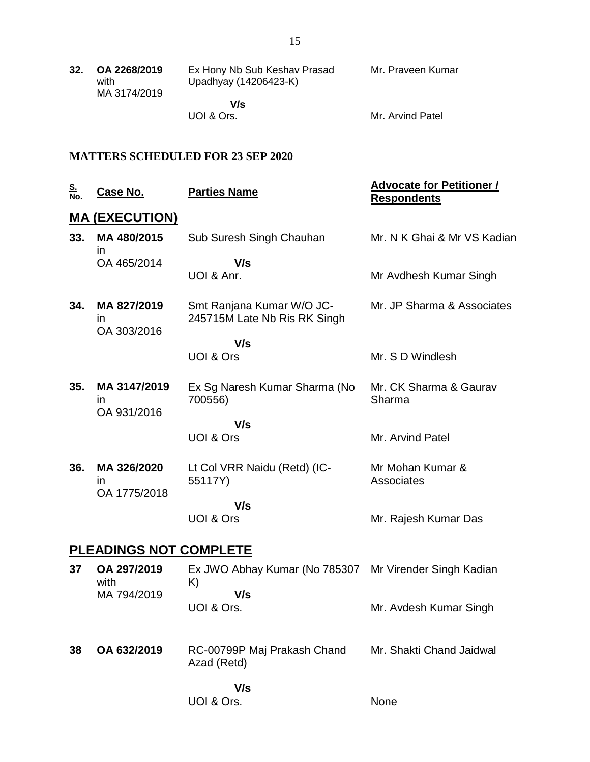| 32. | OA 2268/2019<br>with | Ex Hony Nb Sub Keshav Prasad | Mr. Praveen Kumar |
|-----|----------------------|------------------------------|-------------------|
|     | MA 3174/2019         | Upadhyay (14206423-K)        |                   |
|     |                      | V/s                          |                   |

UOI & Ors.

Mr. Arvind Patel

### **MATTERS SCHEDULED FOR 23 SEP 2020**

| <u>S.</u><br>No.              | <b>Case No.</b>                    | <b>Parties Name</b>                                                 | <b>Advocate for Petitioner /</b><br><b>Respondents</b> |  |
|-------------------------------|------------------------------------|---------------------------------------------------------------------|--------------------------------------------------------|--|
|                               | <u>MA (EXECUTION)</u>              |                                                                     |                                                        |  |
| 33.                           | MA 480/2015<br>$\mathsf{I}$        | Sub Suresh Singh Chauhan                                            | Mr. N K Ghai & Mr VS Kadian                            |  |
|                               | OA 465/2014                        | V/s<br>UOI & Anr.                                                   | Mr Avdhesh Kumar Singh                                 |  |
| 34.                           | MA 827/2019<br>in.<br>OA 303/2016  | Smt Ranjana Kumar W/O JC-<br>245715M Late Nb Ris RK Singh           | Mr. JP Sharma & Associates                             |  |
|                               |                                    | V/s                                                                 |                                                        |  |
|                               |                                    | <b>UOI &amp; Ors</b>                                                | Mr. S D Windlesh                                       |  |
| 35.                           | MA 3147/2019<br>in.<br>OA 931/2016 | Ex Sg Naresh Kumar Sharma (No<br>700556)                            | Mr. CK Sharma & Gaurav<br>Sharma                       |  |
|                               |                                    | V/s                                                                 |                                                        |  |
|                               |                                    | <b>UOI &amp; Ors</b>                                                | Mr. Arvind Patel                                       |  |
| 36.                           | MA 326/2020<br>in.<br>OA 1775/2018 | Lt Col VRR Naidu (Retd) (IC-<br>55117Y)                             | Mr Mohan Kumar &<br>Associates                         |  |
|                               |                                    | V/s                                                                 |                                                        |  |
|                               |                                    | UOI & Ors                                                           | Mr. Rajesh Kumar Das                                   |  |
| <b>PLEADINGS NOT COMPLETE</b> |                                    |                                                                     |                                                        |  |
| 37                            | OA 297/2019<br>with<br>MA 794/2019 | Ex JWO Abhay Kumar (No 785307 Mr Virender Singh Kadian<br>K)<br>V/s |                                                        |  |
|                               |                                    | UOI & Ors.                                                          | Mr. Avdesh Kumar Singh                                 |  |
|                               |                                    |                                                                     |                                                        |  |

**38 OA 632/2019** RC-00799P Maj Prakash Chand Mr. Shakti Chand Jaidwal Azad (Retd)

None

 **V/s** UOI & Ors.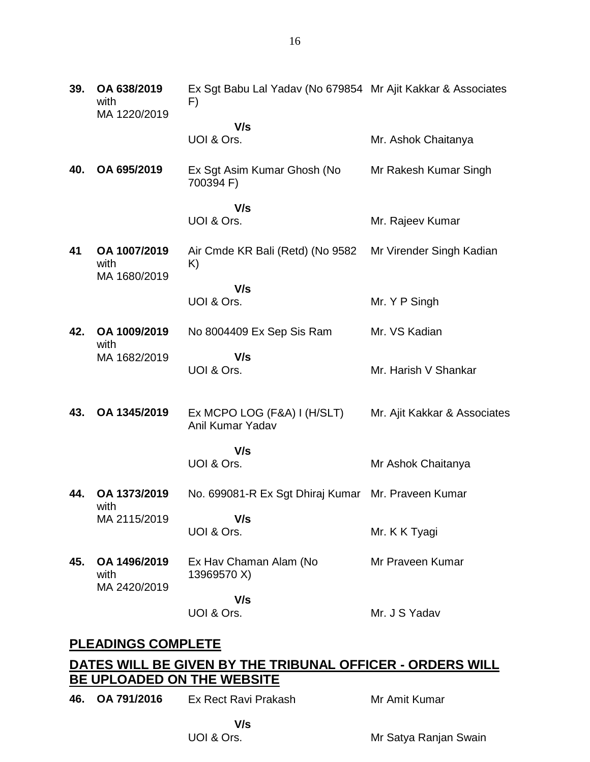| 39. | OA 638/2019<br>with<br>MA 1220/2019  | Ex Sgt Babu Lal Yadav (No 679854 Mr Ajit Kakkar & Associates<br>F) |                              |
|-----|--------------------------------------|--------------------------------------------------------------------|------------------------------|
|     |                                      | V/s<br>UOI & Ors.                                                  | Mr. Ashok Chaitanya          |
| 40. | OA 695/2019                          | Ex Sgt Asim Kumar Ghosh (No<br>700394 F)                           | Mr Rakesh Kumar Singh        |
|     |                                      | V/s                                                                |                              |
|     |                                      | UOI & Ors.                                                         | Mr. Rajeev Kumar             |
| 41  | OA 1007/2019<br>with<br>MA 1680/2019 | Air Cmde KR Bali (Retd) (No 9582<br>K)                             | Mr Virender Singh Kadian     |
|     |                                      | V/s                                                                |                              |
|     |                                      | UOI & Ors.                                                         | Mr. Y P Singh                |
| 42. | OA 1009/2019<br>with                 | No 8004409 Ex Sep Sis Ram                                          | Mr. VS Kadian                |
|     | MA 1682/2019                         | V/s<br>UOI & Ors.                                                  | Mr. Harish V Shankar         |
| 43. | OA 1345/2019                         | Ex MCPO LOG (F&A) I (H/SLT)<br>Anil Kumar Yadav                    | Mr. Ajit Kakkar & Associates |
|     |                                      | V/s                                                                |                              |
|     |                                      | UOI & Ors.                                                         | Mr Ashok Chaitanya           |
| 44. | OA 1373/2019<br>with                 | No. 699081-R Ex Sgt Dhiraj Kumar Mr. Praveen Kumar                 |                              |
|     | MA 2115/2019                         | V/s<br>UOI & Ors.                                                  | Mr. K K Tyagi                |
|     |                                      |                                                                    |                              |
| 45. | OA 1496/2019<br>with<br>MA 2420/2019 | Ex Hav Chaman Alam (No<br>13969570 X)                              | Mr Praveen Kumar             |
|     |                                      | V/s                                                                |                              |

UOI & Ors.

Mr. J S Yadav

## **PLEADINGS COMPLETE**

# **DATES WILL BE GIVEN BY THE TRIBUNAL OFFICER - ORDERS WILL BE UPLOADED ON THE WEBSITE**

**46. OA 791/2016** Ex Rect Ravi Prakash

Mr Amit Kumar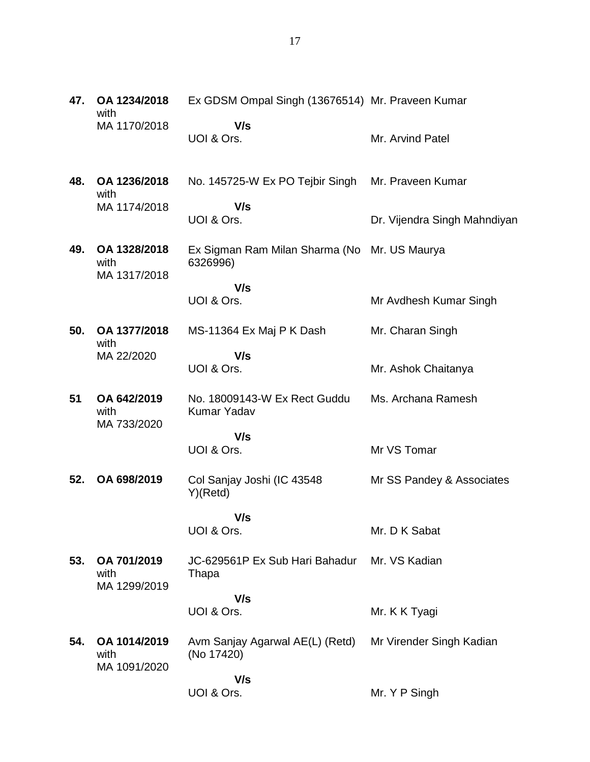| 47. | OA 1234/2018<br>with                | Ex GDSM Ompal Singh (13676514) Mr. Praveen Kumar         |                              |
|-----|-------------------------------------|----------------------------------------------------------|------------------------------|
|     | MA 1170/2018                        | V/s<br>UOI & Ors.                                        | Mr. Arvind Patel             |
| 48. | OA 1236/2018<br>with                | No. 145725-W Ex PO Tejbir Singh                          | Mr. Praveen Kumar            |
|     | MA 1174/2018                        | V/s<br>UOI & Ors.                                        | Dr. Vijendra Singh Mahndiyan |
| 49. | OA 1328/2018<br>with                | Ex Sigman Ram Milan Sharma (No Mr. US Maurya<br>6326996) |                              |
|     | MA 1317/2018                        | V/s                                                      |                              |
|     |                                     | UOI & Ors.                                               | Mr Avdhesh Kumar Singh       |
| 50. | OA 1377/2018<br>with                | MS-11364 Ex Maj P K Dash                                 | Mr. Charan Singh             |
|     | MA 22/2020                          | V/s<br>UOI & Ors.                                        | Mr. Ashok Chaitanya          |
| 51  | OA 642/2019<br>with<br>MA 733/2020  | No. 18009143-W Ex Rect Guddu<br>Kumar Yadav              | Ms. Archana Ramesh           |
|     |                                     | V/s                                                      |                              |
|     |                                     | UOI & Ors.                                               | Mr VS Tomar                  |
| 52. | OA 698/2019                         | Col Sanjay Joshi (IC 43548<br>Y)(Retd)                   | Mr SS Pandey & Associates    |
|     |                                     | V/s                                                      |                              |
|     |                                     | UOI & Ors.                                               | Mr. D K Sabat                |
| 53. | OA 701/2019<br>with<br>MA 1299/2019 | JC-629561P Ex Sub Hari Bahadur<br>Thapa                  | Mr. VS Kadian                |
|     |                                     | V/s                                                      |                              |
|     |                                     | UOI & Ors.                                               | Mr. K K Tyagi                |
| 54. | OA 1014/2019<br>with                | Avm Sanjay Agarwal AE(L) (Retd)<br>(No 17420)            | Mr Virender Singh Kadian     |
|     | MA 1091/2020                        | V/s                                                      |                              |
|     |                                     | UOI & Ors.                                               | Mr. Y P Singh                |